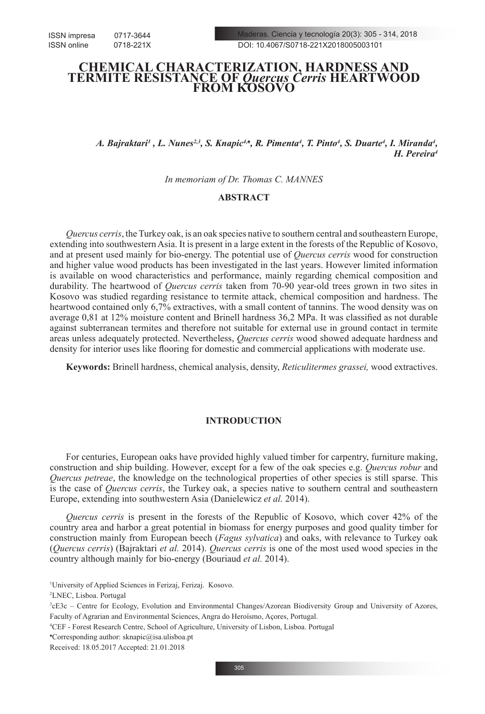# **CHEMICAL CHARACTERIZATION, HARDNESS AND TERMITE RESISTANCE OF** *Quercus Cerris* **HEARTWOOD FROM KOSOVO**

*A. Bajraktari<sup>1</sup>, L. Nunes<sup>2,3</sup>, S. Knapic<sup>4,▲</sup>, R. Pimenta<sup>4</sup>, T. Pinto<sup>4</sup>, S. Duarte<sup>4</sup>, I. Miranda<sup>4</sup>, H. Pereira4* 

*In memoriam of Dr. Thomas C. MANNES*

# **ABSTRACT**

*Quercus cerris*, the Turkey oak, is an oak species native to southern central and southeastern Europe, extending into southwestern Asia. It is present in a large extent in the forests of the Republic of Kosovo, and at present used mainly for bio-energy. The potential use of *Quercus cerris* wood for construction and higher value wood products has been investigated in the last years. However limited information is available on wood characteristics and performance, mainly regarding chemical composition and durability. The heartwood of *Quercus cerris* taken from 70-90 year-old trees grown in two sites in Kosovo was studied regarding resistance to termite attack, chemical composition and hardness. The heartwood contained only 6,7% extractives, with a small content of tannins. The wood density was on average 0,81 at 12% moisture content and Brinell hardness 36,2 MPa. It was classified as not durable against subterranean termites and therefore not suitable for external use in ground contact in termite areas unless adequately protected. Nevertheless, *Quercus cerris* wood showed adequate hardness and density for interior uses like flooring for domestic and commercial applications with moderate use.

**Keywords:** Brinell hardness, chemical analysis, density, *Reticulitermes grassei,* wood extractives.

# **INTRODUCTION**

For centuries, European oaks have provided highly valued timber for carpentry, furniture making, construction and ship building. However, except for a few of the oak species e.g. *Quercus robur* and *Quercus petreae*, the knowledge on the technological properties of other species is still sparse. This is the case of *Quercus cerris*, the Turkey oak, a species native to southern central and southeastern Europe, extending into southwestern Asia (Danielewicz *et al.* 2014).

*Quercus cerris* is present in the forests of the Republic of Kosovo, which cover 42% of the country area and harbor a great potential in biomass for energy purposes and good quality timber for construction mainly from European beech (*Fagus sylvatica*) and oaks, with relevance to Turkey oak (*Quercus cerris*) (Bajraktari *et al.* 2014). *Quercus cerris* is one of the most used wood species in the country although mainly for bio-energy (Bouriaud *et al.* 2014).

2 LNEC, Lisboa. Portugal

<sup>1</sup> University of Applied Sciences in Ferizaj, Ferizaj. Kosovo.

<sup>3</sup> cE3c – Centre for Ecology, Evolution and Environmental Changes/Azorean Biodiversity Group and University of Azores, Faculty of Agrarian and Environmental Sciences, Angra do Heroísmo, Açores, Portugal.

<sup>4</sup> CEF - Forest Research Centre, School of Agriculture, University of Lisbon, Lisboa. Portugal

<sup>♠</sup> Corresponding author: sknapic@isa.ulisboa.pt

Received: 18.05.2017 Accepted: 21.01.2018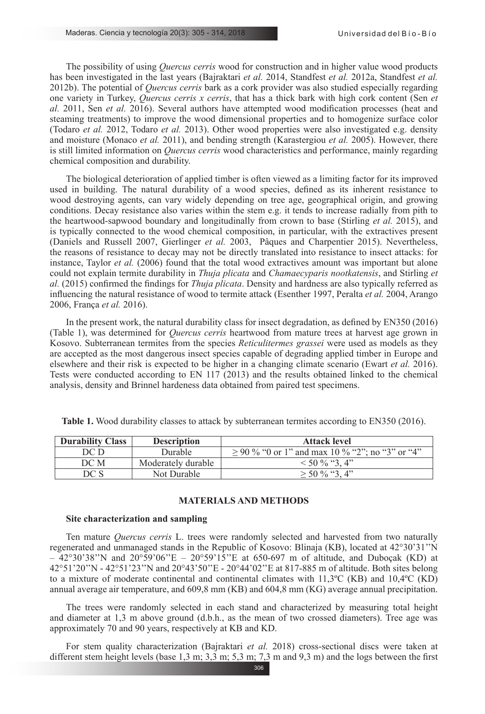The possibility of using *Quercus cerris* wood for construction and in higher value wood products has been investigated in the last years (Bajraktari *et al.* 2014, Standfest *et al.* 2012a, Standfest *et al.* 2012b). The potential of *Quercus cerris* bark as a cork provider was also studied especially regarding one variety in Turkey, *Quercus cerris x cerris*, that has a thick bark with high cork content (Sen *et al.* 2011, Sen *et al.* 2016). Several authors have attempted wood modification processes (heat and steaming treatments) to improve the wood dimensional properties and to homogenize surface color (Todaro *et al.* 2012, Todaro *et al.* 2013). Other wood properties were also investigated e.g. density and moisture (Monaco *et al.* 2011), and bending strength (Karastergiou *et al.* 2005). However, there is still limited information on *Quercus cerris* wood characteristics and performance, mainly regarding chemical composition and durability.

The biological deterioration of applied timber is often viewed as a limiting factor for its improved used in building. The natural durability of a wood species, defined as its inherent resistance to wood destroying agents, can vary widely depending on tree age, geographical origin, and growing conditions. Decay resistance also varies within the stem e.g. it tends to increase radially from pith to the heartwood-sapwood boundary and longitudinally from crown to base (Stirling *et al.* 2015), and is typically connected to the wood chemical composition, in particular, with the extractives present (Daniels and Russell 2007, Gierlinger *et al.* 2003, Pâques and Charpentier 2015). Nevertheless, the reasons of resistance to decay may not be directly translated into resistance to insect attacks: for instance, Taylor *et al.* (2006) found that the total wood extractives amount was important but alone could not explain termite durability in *Thuja plicata* and *Chamaecyparis nootkatensis*, and Stirling *et al.* (2015) confirmed the findings for *Thuja plicata*. Density and hardness are also typically referred as influencing the natural resistance of wood to termite attack (Esenther 1997, Peralta *et al.* 2004, Arango 2006, França *et al.* 2016).

In the present work, the natural durability class for insect degradation, as defined by EN350 (2016) (Table 1), was determined for *Quercus cerris* heartwood from mature trees at harvest age grown in Kosovo. Subterranean termites from the species *Reticulitermes grassei* were used as models as they are accepted as the most dangerous insect species capable of degrading applied timber in Europe and elsewhere and their risk is expected to be higher in a changing climate scenario (Ewart *et al.* 2016). Tests were conducted according to EN 117 (2013) and the results obtained linked to the chemical analysis, density and Brinnel hardeness data obtained from paired test specimens.

| <b>Durability Class</b><br><b>Description</b> |                    | <b>Attack level</b>                               |  |
|-----------------------------------------------|--------------------|---------------------------------------------------|--|
| DC D                                          | Durable            | $>$ 90 % "0 or 1" and max 10 % "2": no "3" or "4" |  |
| DC M                                          | Moderately durable | $\leq 50\%$ "3.4"                                 |  |
| DC S                                          | Not Durable        | $>$ 50 % "3.4"                                    |  |

**Table 1.** Wood durability classes to attack by subterranean termites according to EN350 (2016).

## **MATERIALS AND METHODS**

#### **Site characterization and sampling**

Ten mature *Quercus cerris* L. trees were randomly selected and harvested from two naturally regenerated and unmanaged stands in the Republic of Kosovo: Blinaja (KB), located at 42°30'31''N  $-42^{\circ}30'38''$ N and  $20^{\circ}59'06''E - 20^{\circ}59'15''E$  at 650-697 m of altitude, and Duboçak (KD) at 42°51'20''N - 42°51'23''N and 20°43'50''E - 20°44'02''E at 817-885 m of altitude. Both sites belong to a mixture of moderate continental and continental climates with 11,3ºC (KB) and 10,4ºC (KD) annual average air temperature, and 609,8 mm (KB) and 604,8 mm (KG) average annual precipitation.

The trees were randomly selected in each stand and characterized by measuring total height and diameter at 1,3 m above ground (d.b.h., as the mean of two crossed diameters). Tree age was approximately 70 and 90 years, respectively at KB and KD.

For stem quality characterization (Bajraktari *et al.* 2018) cross-sectional discs were taken at different stem height levels (base 1,3 m; 3,3 m; 5,3 m; 7,3 m and 9,3 m) and the logs between the first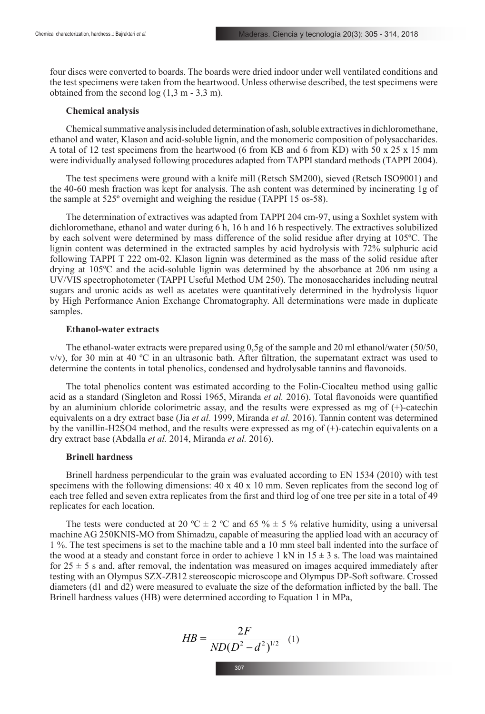four discs were converted to boards. The boards were dried indoor under well ventilated conditions and the test specimens were taken from the heartwood. Unless otherwise described, the test specimens were obtained from the second  $log(1,3 m - 3,3 m)$ .

#### **Chemical analysis**

Chemical summative analysis included determination of ash, soluble extractives in dichloromethane, ethanol and water, Klason and acid-soluble lignin, and the monomeric composition of polysaccharides. A total of 12 test specimens from the heartwood (6 from KB and 6 from KD) with 50 x 25 x 15 mm were individually analysed following procedures adapted from TAPPI standard methods (TAPPI 2004).

The test specimens were ground with a knife mill (Retsch SM200), sieved (Retsch ISO9001) and the 40-60 mesh fraction was kept for analysis. The ash content was determined by incinerating 1g of the sample at 525º overnight and weighing the residue (TAPPI 15 os-58).

The determination of extractives was adapted from TAPPI 204 cm-97, using a Soxhlet system with dichloromethane, ethanol and water during 6 h, 16 h and 16 h respectively. The extractives solubilized by each solvent were determined by mass difference of the solid residue after drying at 105ºC. The lignin content was determined in the extracted samples by acid hydrolysis with 72% sulphuric acid following TAPPI T 222 om-02. Klason lignin was determined as the mass of the solid residue after drying at 105ºC and the acid-soluble lignin was determined by the absorbance at 206 nm using a UV/VIS spectrophotometer (TAPPI Useful Method UM 250). The monosaccharides including neutral sugars and uronic acids as well as acetates were quantitatively determined in the hydrolysis liquor by High Performance Anion Exchange Chromatography. All determinations were made in duplicate samples.

## **Ethanol-water extracts**

The ethanol-water extracts were prepared using 0,5g of the sample and 20 ml ethanol/water (50/50,  $v/v$ ), for 30 min at 40 °C in an ultrasonic bath. After filtration, the supernatant extract was used to determine the contents in total phenolics, condensed and hydrolysable tannins and flavonoids.

The total phenolics content was estimated according to the Folin-Ciocalteu method using gallic acid as a standard (Singleton and Rossi 1965, Miranda *et al.* 2016). Total flavonoids were quantified by an aluminium chloride colorimetric assay, and the results were expressed as mg of (+)-catechin equivalents on a dry extract base (Jia *et al.* 1999, Miranda *et al.* 2016). Tannin content was determined by the vanillin-H2SO4 method, and the results were expressed as mg of (+)-catechin equivalents on a dry extract base (Abdalla *et al.* 2014, Miranda *et al.* 2016).

#### **Brinell hardness**

Brinell hardness perpendicular to the grain was evaluated according to EN 1534 (2010) with test specimens with the following dimensions:  $40 \times 40 \times 10$  mm. Seven replicates from the second log of each tree felled and seven extra replicates from the first and third log of one tree per site in a total of 49 replicates for each location.

The tests were conducted at 20 °C  $\pm$  2 °C and 65 %  $\pm$  5 % relative humidity, using a universal machine AG 250KNIS-MO from Shimadzu, capable of measuring the applied load with an accuracy of 1 %. The test specimens is set to the machine table and a 10 mm steel ball indented into the surface of the wood at a steady and constant force in order to achieve 1 kN in  $15 \pm 3$  s. The load was maintained for  $25 \pm 5$  s and, after removal, the indentation was measured on images acquired immediately after testing with an Olympus SZX-ZB12 stereoscopic microscope and Olympus DP-Soft software. Crossed diameters (d1 and d2) were measured to evaluate the size of the deformation inflicted by the ball. The Brinell hardness values (HB) were determined according to Equation 1 in MPa,

$$
HB = \frac{2F}{ND(D^2 - d^2)^{1/2}} \quad (1)
$$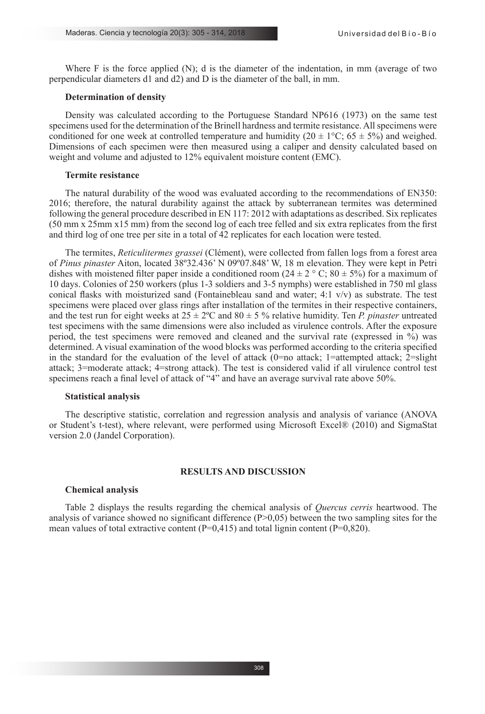Where F is the force applied (N); d is the diameter of the indentation, in mm (average of two perpendicular diameters d1 and d2) and D is the diameter of the ball, in mm.

## **Determination of density**

Density was calculated according to the Portuguese Standard NP616 (1973) on the same test specimens used for the determination of the Brinell hardness and termite resistance. All specimens were conditioned for one week at controlled temperature and humidity (20  $\pm$  1°C; 65  $\pm$  5%) and weighed. Dimensions of each specimen were then measured using a caliper and density calculated based on weight and volume and adjusted to 12% equivalent moisture content (EMC).

# **Termite resistance**

The natural durability of the wood was evaluated according to the recommendations of EN350: 2016; therefore, the natural durability against the attack by subterranean termites was determined following the general procedure described in EN 117: 2012 with adaptations as described. Six replicates (50 mm x 25mm x15 mm) from the second log of each tree felled and six extra replicates from the first and third log of one tree per site in a total of 42 replicates for each location were tested.

The termites, *Reticulitermes grassei* (Clément), were collected from fallen logs from a forest area of *Pinus pinaster* Aiton, located 38º32.436' N 09º07.848' W, 18 m elevation. They were kept in Petri dishes with moistened filter paper inside a conditioned room  $(24 \pm 2 \degree \text{C} : 80 \pm 5\%)$  for a maximum of 10 days. Colonies of 250 workers (plus 1-3 soldiers and 3-5 nymphs) were established in 750 ml glass conical flasks with moisturized sand (Fontainebleau sand and water;  $4:1 \sqrt{v}$ ) as substrate. The test specimens were placed over glass rings after installation of the termites in their respective containers, and the test run for eight weeks at  $25 \pm 2^{\circ}$ C and  $80 \pm 5$  % relative humidity. Ten *P. pinaster* untreated test specimens with the same dimensions were also included as virulence controls. After the exposure period, the test specimens were removed and cleaned and the survival rate (expressed in %) was determined. A visual examination of the wood blocks was performed according to the criteria specified in the standard for the evaluation of the level of attack  $(0=$ no attack; 1=attempted attack; 2=slight attack; 3=moderate attack; 4=strong attack). The test is considered valid if all virulence control test specimens reach a final level of attack of "4" and have an average survival rate above 50%.

## **Statistical analysis**

The descriptive statistic, correlation and regression analysis and analysis of variance (ANOVA or Student's t-test), where relevant, were performed using Microsoft Excel® (2010) and SigmaStat version 2.0 (Jandel Corporation).

## **RESULTS AND DISCUSSION**

#### **Chemical analysis**

Table 2 displays the results regarding the chemical analysis of *Quercus cerris* heartwood. The analysis of variance showed no significant difference  $(P>0.05)$  between the two sampling sites for the mean values of total extractive content  $(P=0,415)$  and total lignin content  $(P=0,820)$ .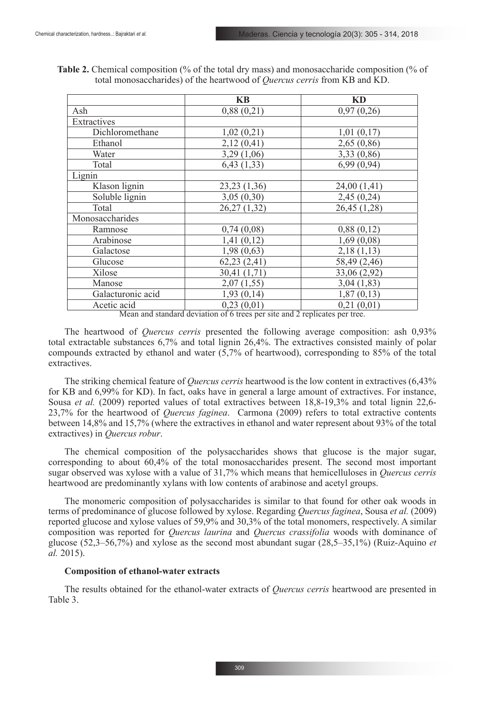| KB           | KD                                                                                                          |
|--------------|-------------------------------------------------------------------------------------------------------------|
| 0,88(0,21)   | 0,97(0,26)                                                                                                  |
|              |                                                                                                             |
| 1,02(0,21)   | 1,01(0,17)                                                                                                  |
| 2,12(0,41)   | 2,65(0,86)                                                                                                  |
| 3,29(1,06)   | 3,33 (0,86)                                                                                                 |
| 6,43(1,33)   | 6,99(0,94)                                                                                                  |
|              |                                                                                                             |
| 23,23 (1,36) | 24,00 (1,41)                                                                                                |
| 3,05(0,30)   | 2,45(0,24)                                                                                                  |
| 26,27(1,32)  | 26,45 (1,28)                                                                                                |
|              |                                                                                                             |
| 0,74(0,08)   | 0,88(0,12)                                                                                                  |
| 1,41(0,12)   | 1,69(0,08)                                                                                                  |
| 1,98(0,63)   | 2,18(1,13)                                                                                                  |
| 62,23(2,41)  | 58,49 (2,46)                                                                                                |
| 30,41 (1,71) | 33,06 (2,92)                                                                                                |
| 2,07(1,55)   | 3,04(1,83)                                                                                                  |
| 1,93(0,14)   | 1,87(0,13)                                                                                                  |
| 0,23(0,01)   | 0,21(0,01)<br>$10 - 11$                                                                                     |
|              | $\frac{1}{\sqrt{2}}$<br>$M_{\odot}$ , and $M_{\odot}$ , and $M_{\odot}$ , and $M_{\odot}$ , and $M_{\odot}$ |

**Table 2.** Chemical composition (% of the total dry mass) and monosaccharide composition (% of total monosaccharides) of the heartwood of *Quercus cerris* from KB and KD.

Mean and standard deviation of 6 trees per site and 2 replicates per tree.

The heartwood of *Quercus cerris* presented the following average composition: ash 0,93% total extractable substances 6,7% and total lignin 26,4%. The extractives consisted mainly of polar compounds extracted by ethanol and water (5,7% of heartwood), corresponding to 85% of the total extractives.

The striking chemical feature of *Quercus cerris* heartwood is the low content in extractives (6,43% for KB and 6,99% for KD). In fact, oaks have in general a large amount of extractives. For instance, Sousa *et al.* (2009) reported values of total extractives between 18,8-19,3% and total lignin 22,6-23,7% for the heartwood of *Quercus faginea*. Carmona (2009) refers to total extractive contents between 14,8% and 15,7% (where the extractives in ethanol and water represent about 93% of the total extractives) in *Quercus robur*.

The chemical composition of the polysaccharides shows that glucose is the major sugar, corresponding to about 60,4% of the total monosaccharides present. The second most important sugar observed was xylose with a value of 31,7% which means that hemicelluloses in *Quercus cerris* heartwood are predominantly xylans with low contents of arabinose and acetyl groups.

The monomeric composition of polysaccharides is similar to that found for other oak woods in terms of predominance of glucose followed by xylose. Regarding *Quercus faginea*, Sousa *et al.* (2009) reported glucose and xylose values of 59,9% and 30,3% of the total monomers, respectively. A similar composition was reported for *Quercus laurina* and *Quercus crassifolia* woods with dominance of glucose (52,3–56,7%) and xylose as the second most abundant sugar (28,5–35,1%) (Ruiz-Aquino *et al.* 2015).

# **Composition of ethanol-water extracts**

The results obtained for the ethanol-water extracts of *Quercus cerris* heartwood are presented in Table 3.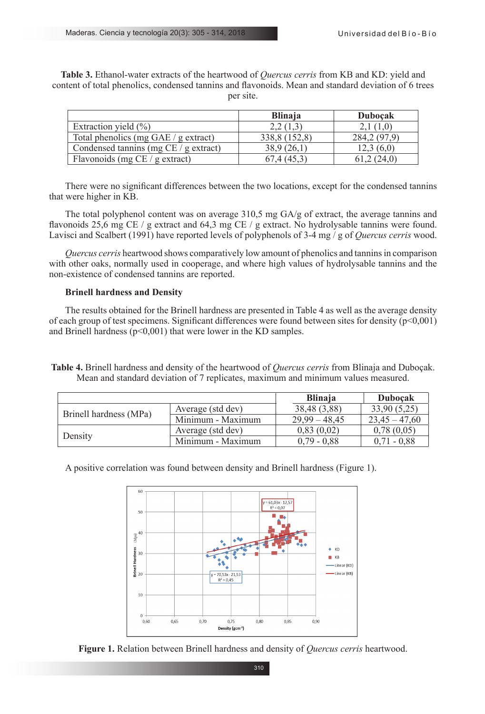**Table 3.** Ethanol-water extracts of the heartwood of *Quercus cerris* from KB and KD: yield and content of total phenolics, condensed tannins and flavonoids. Mean and standard deviation of 6 trees per site.

|                                         | <b>Blinaja</b> | <b>Dubocak</b> |
|-----------------------------------------|----------------|----------------|
| Extraction yield $(\% )$                | 2,2(1,3)       | 2,1(1,0)       |
| Total phenolics (mg GAE / g extract)    | 338,8 (152,8)  | 284, 2 (97, 9) |
| Condensed tanning $(mg CE / g extract)$ | 38,9(26,1)     | 12.3(6.0)      |
| Flavonoids (mg $CE / g$ extract)        | 67,4 (45,3)    | 61,2(24,0)     |

There were no significant differences between the two locations, except for the condensed tannins that were higher in KB.

The total polyphenol content was on average 310,5 mg GA/g of extract, the average tannins and flavonoids 25,6 mg CE / g extract and 64,3 mg CE / g extract. No hydrolysable tannins were found. Lavisci and Scalbert (1991) have reported levels of polyphenols of 3-4 mg / g of *Quercus cerris* wood.

*Quercus cerris* heartwood shows comparatively low amount of phenolics and tannins in comparison with other oaks, normally used in cooperage, and where high values of hydrolysable tannins and the non-existence of condensed tannins are reported.

# **Brinell hardness and Density**

The results obtained for the Brinell hardness are presented in Table 4 as well as the average density of each group of test specimens. Significant differences were found between sites for density  $(p<0,001)$ and Brinell hardness  $(p<0,001)$  that were lower in the KD samples.

**Table 4.** Brinell hardness and density of the heartwood of *Quercus cerris* from Blinaja and Duboçak. Mean and standard deviation of 7 replicates, maximum and minimum values measured.

|                        |                   | <b>Blinaja</b>  | <b>Dubocak</b>  |
|------------------------|-------------------|-----------------|-----------------|
| Brinell hardness (MPa) | Average (std dev) | 38,48 (3,88)    | 33,90 (5,25)    |
|                        | Minimum - Maximum | $29,99 - 48,45$ | $23.45 - 47.60$ |
|                        | Average (std dev) | 0,83(0,02)      | 0,78(0,05)      |
| Density                | Minimum - Maximum | $0.79 - 0.88$   | $0.71 - 0.88$   |

A positive correlation was found between density and Brinell hardness (Figure 1).

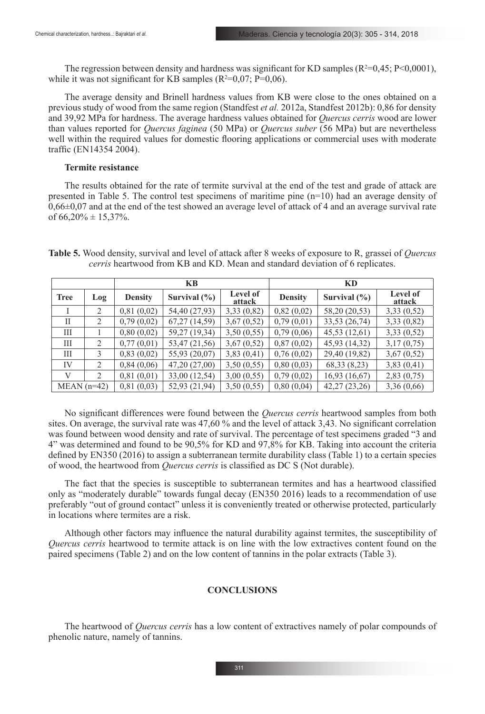The regression between density and hardness was significant for KD samples ( $R^2=0,45$ ;  $P<0,0001$ ), while it was not significant for KB samples  $(R^2=0.07; P=0.06)$ .

The average density and Brinell hardness values from KB were close to the ones obtained on a previous study of wood from the same region (Standfest *et al.* 2012a, Standfest 2012b): 0,86 for density and 39,92 MPa for hardness. The average hardness values obtained for *Quercus cerris* wood are lower than values reported for *Quercus faginea* (50 MPa) or *Quercus suber* (56 MPa) but are nevertheless well within the required values for domestic flooring applications or commercial uses with moderate traffic (EN14354 2004).

# **Termite resistance**

The results obtained for the rate of termite survival at the end of the test and grade of attack are presented in Table 5. The control test specimens of maritime pine (n=10) had an average density of  $0.66\pm0.07$  and at the end of the test showed an average level of attack of 4 and an average survival rate of  $66,20\% \pm 15,37\%$ .

**Table 5.** Wood density, survival and level of attack after 8 weeks of exposure to R, grassei of *Quercus cerris* heartwood from KB and KD. Mean and standard deviation of 6 replicates.

|               |                | <b>KB</b>      |                  |                           | KD             |                  |                    |
|---------------|----------------|----------------|------------------|---------------------------|----------------|------------------|--------------------|
| <b>Tree</b>   | Log            | <b>Density</b> | Survival $(\% )$ | <b>Level of</b><br>attack | <b>Density</b> | Survival $(\% )$ | Level of<br>attack |
|               | 2              | 0,81(0,02)     | 54,40 (27,93)    | 3,33(0,82)                | 0,82(0,02)     | 58,20 (20,53)    | 3,33(0,52)         |
| Н             | 2              | 0,79(0,02)     | 67,27 (14,59)    | 3,67(0,52)                | 0,79(0,01)     | 33,53 (26,74)    | 3,33(0,82)         |
| Ш             |                | 0,80(0,02)     | 59,27 (19,34)    | 3,50(0,55)                | 0,79(0,06)     | 45,53(12,61)     | 3,33(0,52)         |
| Ш             | $\overline{2}$ | 0,77(0,01)     | 53,47 (21,56)    | 3,67(0,52)                | 0,87(0,02)     | 45,93 (14,32)    | 3,17(0,75)         |
| Ш             | 3              | 0,83(0,02)     | 55,93 (20,07)    | 3,83(0,41)                | 0,76(0,02)     | 29,40 (19,82)    | 3,67(0,52)         |
| IV            | $\overline{c}$ | 0,84(0,06)     | 47,20 (27,00)    | 3,50(0,55)                | 0,80(0,03)     | 68,33 (8,23)     | 3,83(0,41)         |
| $\mathbf{V}$  | 2              | 0,81(0,01)     | 33,00 (12,54)    | 3,00(0,55)                | 0,79(0,02)     | 16,93(16,67)     | 2,83(0,75)         |
| $MEAN$ (n=42) |                | 0,81(0,03)     | 52,93 (21,94)    | 3,50(0,55)                | 0,80(0,04)     | 42,27 (23,26)    | 3,36(0,66)         |

No significant differences were found between the *Quercus cerris* heartwood samples from both sites. On average, the survival rate was 47,60 % and the level of attack 3,43. No significant correlation was found between wood density and rate of survival. The percentage of test specimens graded "3 and 4" was determined and found to be 90,5% for KD and 97,8% for KB. Taking into account the criteria defined by EN350 (2016) to assign a subterranean termite durability class (Table 1) to a certain species of wood, the heartwood from *Quercus cerris* is classified as DC S (Not durable).

The fact that the species is susceptible to subterranean termites and has a heartwood classified only as "moderately durable" towards fungal decay (EN350 2016) leads to a recommendation of use preferably "out of ground contact" unless it is conveniently treated or otherwise protected, particularly in locations where termites are a risk.

Although other factors may influence the natural durability against termites, the susceptibility of *Quercus cerris* heartwood to termite attack is on line with the low extractives content found on the paired specimens (Table 2) and on the low content of tannins in the polar extracts (Table 3).

# **CONCLUSIONS**

The heartwood of *Quercus cerris* has a low content of extractives namely of polar compounds of phenolic nature, namely of tannins.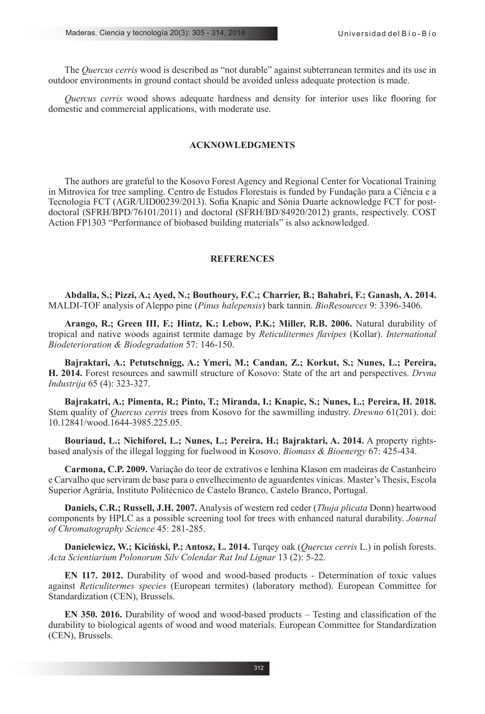The *Quercus cerris* wood is described as "not durable" against subterranean termites and its use in outdoor environments in ground contact should be avoided unless adequate protection is made.

*Quercus cerris* wood shows adequate hardness and density for interior uses like flooring for domestic and commercial applications, with moderate use.

# **ACKNOWLEDGMENTS**

The authors are grateful to the Kosovo Forest Agency and Regional Center for Vocational Training in Mitrovica for tree sampling. Centro de Estudos Florestais is funded by Fundação para a Ciência e a Tecnologia FCT (AGR/UID00239/2013). Sofia Knapic and Sónia Duarte acknowledge FCT for postdoctoral (SFRH/BPD/76101/2011) and doctoral (SFRH/BD/84920/2012) grants, respectively. COST Action FP1303 "Performance of biobased building materials" is also acknowledged.

#### **REFERENCES**

**Abdalla, S.; Pizzi, A.; Ayed, N.; Bouthoury, F.C.; Charrier, B.; Bahabri, F.; Ganash, A. 2014.** MALDI-TOF analysis of Aleppo pine (*Pinus halepensis*) bark tannin. *BioResources* 9: 3396-3406.

**Arango, R.; Green III, F.; Hintz, K.; Lebow, P.K.; Miller, R.B. 2006.** Natural durability of tropical and native woods against termite damage by *Reticulitermes flavipes* (Kollar). *International Biodeterioration & Biodegradation* 57: 146-150.

**Bajraktari, A.; Petutschnigg, A.; Ymeri, M.; Candan, Z.; Korkut, S.; Nunes, L.; Pereira, H. 2014.** Forest resources and sawmill structure of Kosovo: State of the art and perspectives. *Drvna Industrija* 65 (4): 323-327.

**Bajrakatri, A.; Pimenta, R.; Pinto, T.; Miranda, I.; Knapic, S.; Nunes, L.; Pereira, H. 2018.**  Stem quality of *Quercus cerris* trees from Kosovo for the sawmilling industry. *Drewno* 61(201). doi: 10.12841/wood.1644-3985.225.05.

**Bouriaud, L.; Nichiforel, L.; Nunes, L.; Pereira, H.; Bajraktari, A. 2014.** A property rightsbased analysis of the illegal logging for fuelwood in Kosovo. *Biomass & Bioenergy* 67: 425-434.

**Carmona, C.P. 2009.** Variação do teor de extrativos e lenhina Klason em madeiras de Castanheiro e Carvalho que serviram de base para o envelhecimento de aguardentes vínicas. Master's Thesis, Escola Superior Agrária, Instituto Politécnico de Castelo Branco, Castelo Branco, Portugal.

**Daniels, C.R.; Russell, J.H. 2007.** Analysis of western red ceder (*Thuja plicata* Donn) heartwood components by HPLC as a possible screening tool for trees with enhanced natural durability. *Journal of Chromatography Science* 45: 281-285.

**Danielewicz, W.; Kiciński, P.; Antosz, L. 2014.** Turqey oak (*Quercus cerris* L.) in polish forests. *Acta Scientiarium Polonorum Silv Colendar Rat Ind Lignar* 13 (2): 5-22.

**EN 117. 2012.** Durability of wood and wood-based products - Determination of toxic values against *Reticulitermes species* (European termites) (laboratory method). European Committee for Standardization (CEN), Brussels.

**EN 350. 2016.** Durability of wood and wood-based products – Testing and classification of the durability to biological agents of wood and wood materials. European Committee for Standardization (CEN), Brussels.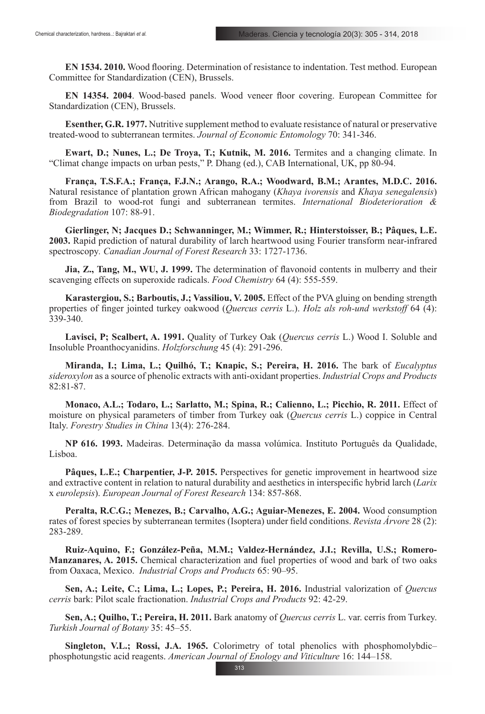**EN 1534. 2010.** Wood flooring. Determination of resistance to indentation. Test method. European Committee for Standardization (CEN), Brussels.

**EN 14354. 2004**. Wood-based panels. Wood veneer floor covering. European Committee for Standardization (CEN), Brussels.

**Esenther, G.R. 1977.** Nutritive supplement method to evaluate resistance of natural or preservative treated-wood to subterranean termites. *Journal of Economic Entomology* 70: 341-346.

**Ewart, D.; Nunes, L.; De Troya, T.; Kutnik, M. 2016.** Termites and a changing climate. In "Climat change impacts on urban pests," P. Dhang (ed.), CAB International, UK, pp 80-94.

**França, T.S.F.A.; França, F.J.N.; Arango, R.A.; Woodward, B.M.; Arantes, M.D.C. 2016.** Natural resistance of plantation grown African mahogany (*Khaya ivorensis* and *Khaya senegalensis*) from Brazil to wood-rot fungi and subterranean termites. *International Biodeterioration & Biodegradation* 107: 88-91.

**Gierlinger, N; Jacques D.; Schwanninger, M.; Wimmer, R.; Hinterstoisser, B.; Pâques, L.E. 2003.** Rapid prediction of natural durability of larch heartwood using Fourier transform near-infrared spectroscopy*. Canadian Journal of Forest Research* 33: 1727-1736.

**Jia, Z., Tang, M., WU, J. 1999.** The determination of flavonoid contents in mulberry and their scavenging effects on superoxide radicals. *Food Chemistry* 64 (4): 555-559.

**Karastergiou, S.; Barboutis, J.; Vassiliou, V. 2005.** Effect of the PVA gluing on bending strength properties of finger jointed turkey oakwood (*Quercus cerris* L.). *Holz als roh-und werkstoff* 64 (4): 339-340.

**Lavisci, P; Scalbert, A. 1991.** Quality of Turkey Oak (*Quercus cerris* L.) Wood I. Soluble and Insoluble Proanthocyanidins. *Holzforschung* 45 (4): 291-296.

**Miranda, I.; Lima, L.; Quilhó, T.; Knapic, S.; Pereira, H. 2016.** The bark of *Eucalyptus sideroxylon* as a source of phenolic extracts with anti-oxidant properties. *Industrial Crops and Products* 82:81-87.

**Monaco, A.L.; Todaro, L.; Sarlatto, M.; Spina, R.; Calienno, L.; Picchio, R. 2011.** Effect of moisture on physical parameters of timber from Turkey oak (*Quercus cerris* L.) coppice in Central Italy. *Forestry Studies in China* 13(4): 276-284.

**NP 616. 1993.** Madeiras. Determinação da massa volúmica. Instituto Português da Qualidade, Lisboa.

**Pâques, L.E.; Charpentier, J-P. 2015.** Perspectives for genetic improvement in heartwood size and extractive content in relation to natural durability and aesthetics in interspecific hybrid larch (*Larix* x *eurolepsis*). *European Journal of Forest Research* 134: 857-868.

**Peralta, R.C.G.; Menezes, B.; Carvalho, A.G.; Aguiar-Menezes, E. 2004.** Wood consumption rates of forest species by subterranean termites (Isoptera) under field conditions. *Revista Árvore* 28 (2): 283-289.

**Ruiz-Aquino, F.; González-Peña, M.M.; Valdez-Hernández, J.I.; Revilla, U.S.; Romero-Manzanares, A. 2015.** Chemical characterization and fuel properties of wood and bark of two oaks from Oaxaca, Mexico. *Industrial Crops and Products* 65: 90–95.

**Sen, A.; Leite, C.; Lima, L.; Lopes, P.; Pereira, H. 2016.** Industrial valorization of *Quercus cerris* bark: Pilot scale fractionation. *Industrial Crops and Products* 92: 42-29.

**Sen, A.; Quilho, T.; Pereira, H. 2011.** Bark anatomy of *Quercus cerris* L. var. cerris from Turkey. *Turkish Journal of Botany* 35: 45–55.

**Singleton, V.L.; Rossi, J.A. 1965.** Colorimetry of total phenolics with phosphomolybdic– phosphotungstic acid reagents. *American Journal of Enology and Viticulture* 16: 144–158.